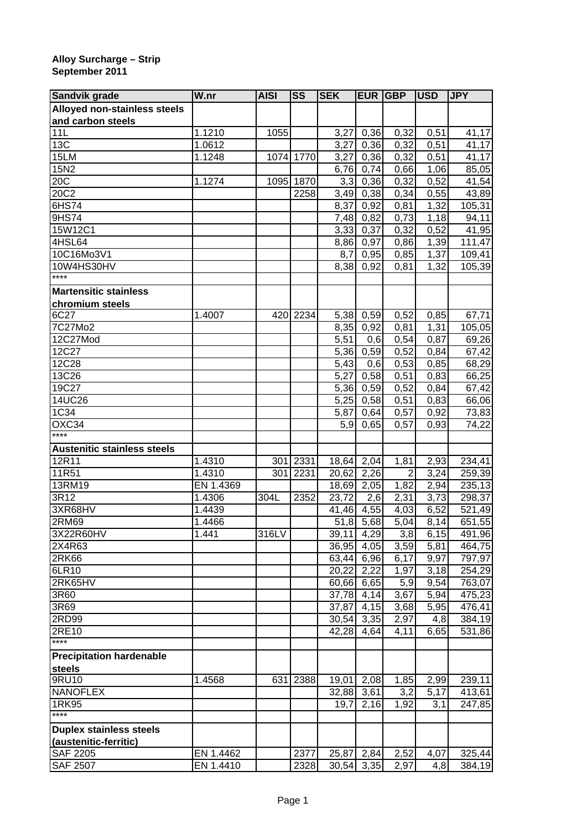## **Alloy Surcharge – Strip September 2011**

| Sandvik grade                      | W.nr      | <b>AISI</b> | <b>SS</b> | <b>SEK</b>              | EUR  | <b>GBP</b>     | <b>USD</b> | <b>JPY</b> |
|------------------------------------|-----------|-------------|-----------|-------------------------|------|----------------|------------|------------|
| Alloyed non-stainless steels       |           |             |           |                         |      |                |            |            |
| and carbon steels                  |           |             |           |                         |      |                |            |            |
| 11L                                | 1.1210    | 1055        |           | 3,27                    | 0,36 | 0,32           | 0,51       | 41,17      |
| 13C                                | 1.0612    |             |           | 3,27                    | 0,36 | 0,32           | 0,51       | 41,17      |
| 15LM                               | 1.1248    |             | 1074 1770 | 3,27                    | 0,36 | 0,32           | 0,51       | 41,17      |
| 15N2                               |           |             |           | 6,76                    | 0,74 | 0,66           | 1,06       | 85,05      |
| 20C                                | 1.1274    |             | 1095 1870 | 3,3                     | 0,36 | 0,32           | 0,52       | 41,54      |
| 20C2                               |           |             | 2258      | $\overline{3,}49$       | 0,38 | 0,34           | 0,55       | 43,89      |
| 6HS74                              |           |             |           | 8,37                    | 0,92 | 0,81           | 1,32       | 105,31     |
| 9HS74                              |           |             |           | 7,48                    | 0,82 | 0,73           | 1,18       | 94,11      |
| 15W12C1                            |           |             |           | 3,33                    | 0,37 | 0,32           | 0,52       | 41,95      |
| 4HSL64                             |           |             |           | 8,86                    | 0,97 | 0,86           | 1,39       | 111,47     |
| 10C16Mo3V1                         |           |             |           | 8,7                     | 0,95 | 0,85           | 1,37       | 109,41     |
| 10W4HS30HV                         |           |             |           | 8,38                    | 0,92 | 0,81           | 1,32       | 105,39     |
| $***$                              |           |             |           |                         |      |                |            |            |
| <b>Martensitic stainless</b>       |           |             |           |                         |      |                |            |            |
| chromium steels                    |           |             |           |                         |      |                |            |            |
| 6C27                               | 1.4007    |             | 420 2234  | 5,38                    | 0,59 | 0,52           | 0,85       | 67,71      |
| 7C27Mo2                            |           |             |           | 8,35                    | 0,92 | 0,81           | 1,31       | 105,05     |
| 12C27Mod                           |           |             |           | 5,51                    | 0,6  | 0,54           | 0,87       | 69,26      |
| 12C27                              |           |             |           | 5,36                    | 0,59 | 0,52           | 0,84       | 67,42      |
| 12C28                              |           |             |           | 5,43                    | 0,6  | 0,53           | 0,85       | 68,29      |
| 13C26                              |           |             |           | 5,27                    | 0,58 | 0,51           | 0,83       | 66,25      |
| 19C27                              |           |             |           | 5,36                    | 0,59 | 0,52           | 0,84       | 67,42      |
| 14UC26                             |           |             |           | 5,25                    | 0,58 | 0,51           | 0,83       | 66,06      |
| 1C34                               |           |             |           | 5,87                    | 0,64 | 0,57           | 0,92       | 73,83      |
| OXC34                              |           |             |           | 5,9                     | 0,65 | 0,57           | 0,93       | 74,22      |
| ****                               |           |             |           |                         |      |                |            |            |
| <b>Austenitic stainless steels</b> |           |             |           |                         |      |                |            |            |
| 12R11                              | 1.4310    | 301         | 2331      | 18,64                   | 2,04 | 1,81           | 2,93       | 234,41     |
| 11R51                              | 1.4310    | 301         | 2231      | 20,62                   | 2,26 | $\overline{2}$ | 3,24       | 259,39     |
| 13RM19                             | EN 1.4369 |             |           | 18,69                   | 2,05 | 1,82           | 2,94       | 235,13     |
| 3R12                               | 1.4306    | 304L        | 2352      | 23,72                   | 2,6  | 2,31           | 3,73       | 298,37     |
| 3XR68HV                            | 1.4439    |             |           | 41,46                   | 4,55 | 4,03           | 6,52       | 521,49     |
| 2RM69                              | 1.4466    |             |           | 51,8                    | 5,68 | 5,04           | 8,14       | 651,55     |
| 3X22R60HV                          | 1.441     | 316LV       |           | 39,11 4,29              |      | 3,8            | 6,15       | 491,96     |
| 2X4R63                             |           |             |           | 36,95                   | 4,05 | 3,59           | 5,81       | 464,75     |
| 2R <sub>K66</sub>                  |           |             |           | 63,44 6,96              |      | 6,17           | 9,97       | 797,97     |
| 6LR10                              |           |             |           | 20,22 2,22              |      | 1,97           | 3,18       | 254,29     |
| 2RK65HV                            |           |             |           | 60,66 6,65              |      | 5,9            | 9,54       | 763,07     |
| 3R60                               |           |             |           | 37,78 4,14              |      | 3,67           | 5,94       | 475,23     |
| 3R69                               |           |             |           | 37,87                   | 4,15 | 3,68           | 5,95       | 476,41     |
| 2RD99                              |           |             |           | $\overline{30,54}$ 3,35 |      | 2,97           | 4,8        | 384,19     |
| 2RE10                              |           |             |           | 42,28                   | 4,64 | 4,11           | 6,65       | 531,86     |
| $***$                              |           |             |           |                         |      |                |            |            |
| <b>Precipitation hardenable</b>    |           |             |           |                         |      |                |            |            |
| <b>steels</b>                      |           |             |           |                         |      |                |            |            |
| 9RU10                              | 1.4568    | 631         | 2388      | 19,01                   | 2,08 | 1,85           | 2,99       | 239,11     |
| <b>NANOFLEX</b>                    |           |             |           | 32,88 3,61              |      | 3,2            | 5,17       | 413,61     |
| 1RK95                              |           |             |           | 19,7                    | 2,16 | 1,92           | 3,1        | 247,85     |
| ****                               |           |             |           |                         |      |                |            |            |
| <b>Duplex stainless steels</b>     |           |             |           |                         |      |                |            |            |
| (austenitic-ferritic)              |           |             |           |                         |      |                |            |            |
| <b>SAF 2205</b>                    | EN 1.4462 |             | 2377      | 25,87 2,84              |      | 2,52           | 4,07       | 325,44     |
| <b>SAF 2507</b>                    | EN 1.4410 |             | 2328      | 30,54 3,35              |      | 2,97           | 4,8        | 384,19     |